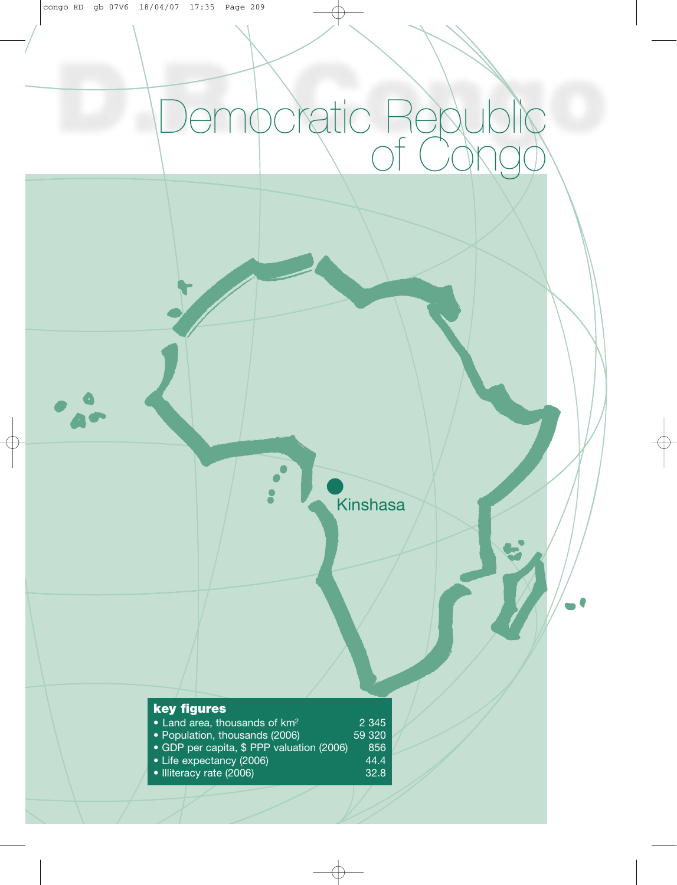# Democratic Republic of Congo

Kinshasa

| <b>key figures</b>                        |         |
|-------------------------------------------|---------|
| • Land area, thousands of km <sup>2</sup> | 2 3 4 5 |
| • Population, thousands (2006)            | 59 320  |
| · GDP per capita, \$ PPP valuation (2006) | 856     |
| • Life expectancy (2006)                  | 44.4    |
| • Illiteracy rate (2006)                  | 32.8    |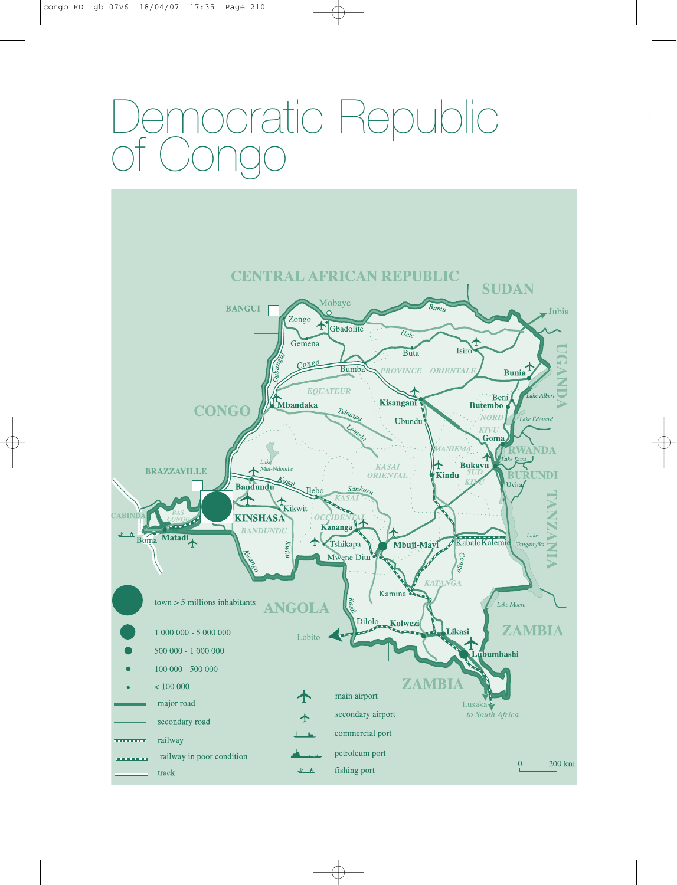# ocratic Republic of Congo

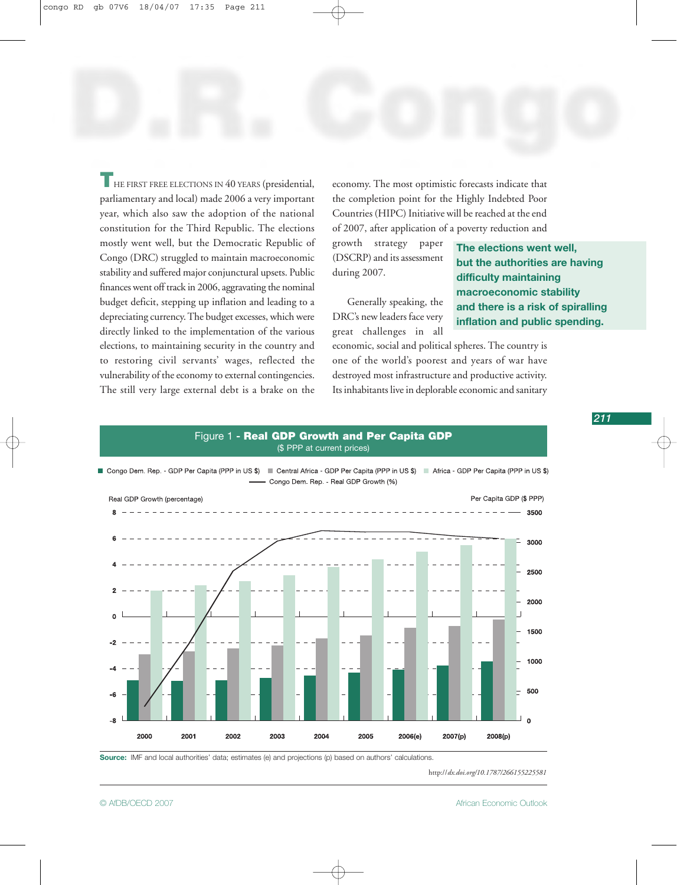THE FIRST FREE ELECTIONS IN 40 YEARS (presidential, parliamentary and local) made 2006 a very important year, which also saw the adoption of the national constitution for the Third Republic. The elections mostly went well, but the Democratic Republic of Congo (DRC) struggled to maintain macroeconomic stability and suffered major conjunctural upsets. Public finances went off track in 2006, aggravating the nominal budget deficit, stepping up inflation and leading to a depreciating currency. The budget excesses, which were directly linked to the implementation of the various elections, to maintaining security in the country and to restoring civil servants' wages, reflected the vulnerability of the economy to external contingencies. The still very large external debt is a brake on the

economy. The most optimistic forecasts indicate that the completion point for the Highly Indebted Poor Countries (HIPC) Initiative will be reached at the end of 2007, after application of a poverty reduction and

growth strategy paper (DSCRP) and its assessment during 2007.

Generally speaking, the DRC's new leaders face very great challenges in all **The elections went well, but the authorities are having difficulty maintaining macroeconomic stability and there is a risk of spiralling inflation and public spending.**

economic, social and political spheres. The country is one of the world's poorest and years of war have destroyed most infrastructure and productive activity. Its inhabitants live in deplorable economic and sanitary

#### Figure 1 **- Real GDP Growth and Per Capita GDP** (\$ PPP at current prices)



**Source:** IMF and local authorities' data; estimates (e) and projections (p) based on authors' calculations.

http://*[dx.doi.org/10.1787/266155225581](http://dx.doi.org/10.1787/266155225581)*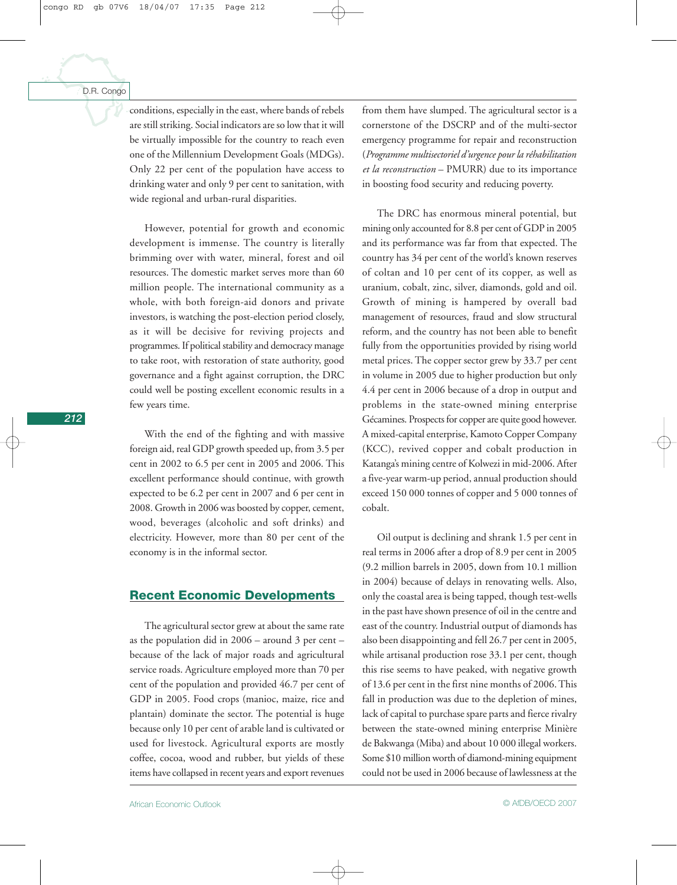conditions, especially in the east, where bands of rebels are still striking. Social indicators are so low that it will be virtually impossible for the country to reach even one of the Millennium Development Goals (MDGs). Only 22 per cent of the population have access to drinking water and only 9 per cent to sanitation, with wide regional and urban-rural disparities.

However, potential for growth and economic development is immense. The country is literally brimming over with water, mineral, forest and oil resources. The domestic market serves more than 60 million people. The international community as a whole, with both foreign-aid donors and private investors, is watching the post-election period closely, as it will be decisive for reviving projects and programmes. If political stability and democracy manage to take root, with restoration of state authority, good governance and a fight against corruption, the DRC could well be posting excellent economic results in a few years time.

With the end of the fighting and with massive foreign aid, real GDP growth speeded up, from 3.5 per cent in 2002 to 6.5 per cent in 2005 and 2006. This excellent performance should continue, with growth expected to be 6.2 per cent in 2007 and 6 per cent in 2008. Growth in 2006 was boosted by copper, cement, wood, beverages (alcoholic and soft drinks) and electricity. However, more than 80 per cent of the economy is in the informal sector.

#### **Recent Economic Developments**

The agricultural sector grew at about the same rate as the population did in 2006 – around 3 per cent – because of the lack of major roads and agricultural service roads. Agriculture employed more than 70 per cent of the population and provided 46.7 per cent of GDP in 2005. Food crops (manioc, maize, rice and plantain) dominate the sector. The potential is huge because only 10 per cent of arable land is cultivated or used for livestock. Agricultural exports are mostly coffee, cocoa, wood and rubber, but yields of these items have collapsed in recent years and export revenues

from them have slumped. The agricultural sector is a cornerstone of the DSCRP and of the multi-sector emergency programme for repair and reconstruction (*Programme multisectoriel d'urgence pour la réhabilitation et la reconstruction* – PMURR) due to its importance in boosting food security and reducing poverty.

The DRC has enormous mineral potential, but mining only accounted for 8.8 per cent of GDP in 2005 and its performance was far from that expected. The country has 34 per cent of the world's known reserves of coltan and 10 per cent of its copper, as well as uranium, cobalt, zinc, silver, diamonds, gold and oil. Growth of mining is hampered by overall bad management of resources, fraud and slow structural reform, and the country has not been able to benefit fully from the opportunities provided by rising world metal prices. The copper sector grew by 33.7 per cent in volume in 2005 due to higher production but only 4.4 per cent in 2006 because of a drop in output and problems in the state-owned mining enterprise Gécamines. Prospects for copper are quite good however. A mixed-capital enterprise, Kamoto Copper Company (KCC), revived copper and cobalt production in Katanga's mining centre of Kolwezi in mid-2006. After a five-year warm-up period, annual production should exceed 150 000 tonnes of copper and 5 000 tonnes of cobalt.

Oil output is declining and shrank 1.5 per cent in real terms in 2006 after a drop of 8.9 per cent in 2005 (9.2 million barrels in 2005, down from 10.1 million in 2004) because of delays in renovating wells. Also, only the coastal area is being tapped, though test-wells in the past have shown presence of oil in the centre and east of the country. Industrial output of diamonds has also been disappointing and fell 26.7 per cent in 2005, while artisanal production rose 33.1 per cent, though this rise seems to have peaked, with negative growth of 13.6 per cent in the first nine months of 2006. This fall in production was due to the depletion of mines, lack of capital to purchase spare parts and fierce rivalry between the state-owned mining enterprise Minière de Bakwanga (Miba) and about 10 000 illegal workers. Some \$10 million worth of diamond-mining equipment could not be used in 2006 because of lawlessness at the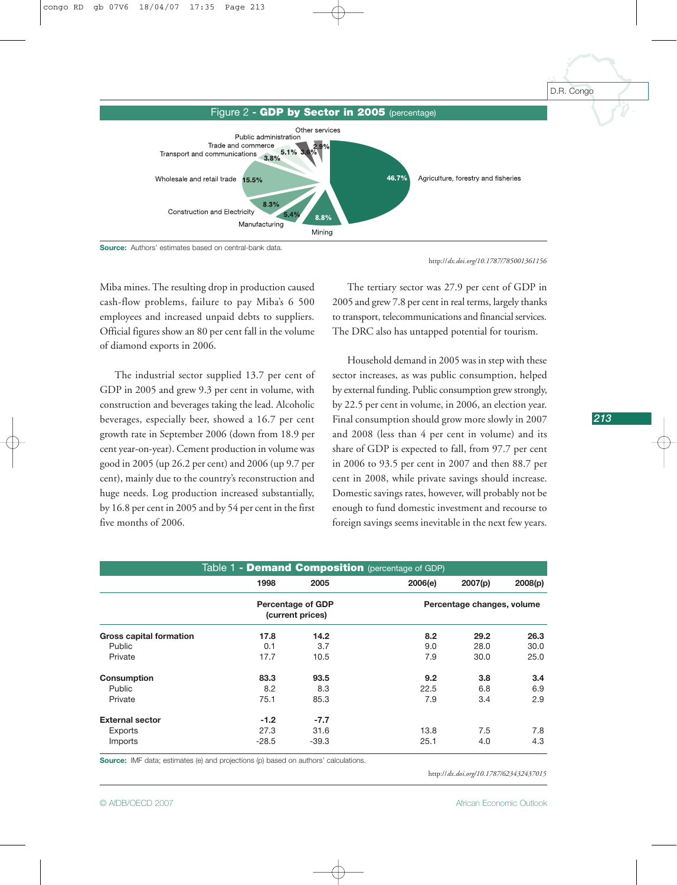

**Source:** Authors' estimates based on central-bank data.

http://*[dx.doi.org/10.1787/785001361156](http://dx.doi.org/10.1787/785001361156)*

Miba mines. The resulting drop in production caused cash-flow problems, failure to pay Miba's 6 500 employees and increased unpaid debts to suppliers. Official figures show an 80 per cent fall in the volume of diamond exports in 2006.

The industrial sector supplied 13.7 per cent of GDP in 2005 and grew 9.3 per cent in volume, with construction and beverages taking the lead. Alcoholic beverages, especially beer, showed a 16.7 per cent growth rate in September 2006 (down from 18.9 per cent year-on-year). Cement production in volume was good in 2005 (up 26.2 per cent) and 2006 (up 9.7 per cent), mainly due to the country's reconstruction and huge needs. Log production increased substantially, by 16.8 per cent in 2005 and by 54 per cent in the first five months of 2006.

The tertiary sector was 27.9 per cent of GDP in 2005 and grew 7.8 per cent in real terms, largely thanks to transport, telecommunications and financial services. The DRC also has untapped potential for tourism.

Household demand in 2005 was in step with these sector increases, as was public consumption, helped by external funding. Public consumption grew strongly, by 22.5 per cent in volume, in 2006, an election year. Final consumption should grow more slowly in 2007 and 2008 (less than 4 per cent in volume) and its share of GDP is expected to fall, from 97.7 per cent in 2006 to 93.5 per cent in 2007 and then 88.7 per cent in 2008, while private savings should increase. Domestic savings rates, however, will probably not be enough to fund domestic investment and recourse to foreign savings seems inevitable in the next few years.

|                                |                                              |                            | Table 1 - Demand Composition (percentage of GDP) |         |         |
|--------------------------------|----------------------------------------------|----------------------------|--------------------------------------------------|---------|---------|
|                                | 1998                                         | 2005                       | 2006(e)                                          | 2007(p) | 2008(p) |
|                                | <b>Percentage of GDP</b><br>(current prices) | Percentage changes, volume |                                                  |         |         |
| <b>Gross capital formation</b> | 17.8                                         | 14.2                       | 8.2                                              | 29.2    | 26.3    |
| Public                         | 0.1                                          | 3.7                        | 9.0                                              | 28.0    | 30.0    |
| Private                        | 17.7                                         | 10.5                       | 7.9                                              | 30.0    | 25.0    |
| Consumption                    | 83.3                                         | 93.5                       | 9.2                                              | 3.8     | 3.4     |
| Public                         | 8.2                                          | 8.3                        | 22.5                                             | 6.8     | 6.9     |
| Private                        | 75.1                                         | 85.3                       | 7.9                                              | 3.4     | 2.9     |
| <b>External sector</b>         | $-1.2$                                       | $-7.7$                     |                                                  |         |         |
| Exports                        | 27.3                                         | 31.6                       | 13.8                                             | 7.5     | 7.8     |
| Imports                        | $-28.5$                                      | $-39.3$                    | 25.1                                             | 4.0     | 4.3     |

**Source:** IMF data; estimates (e) and projections (p) based on authors' calculations.

http://*[dx.doi.org/10.1787/623432437015](http://dx.doi.org/10.1787/623432437015)*

D.R. Congo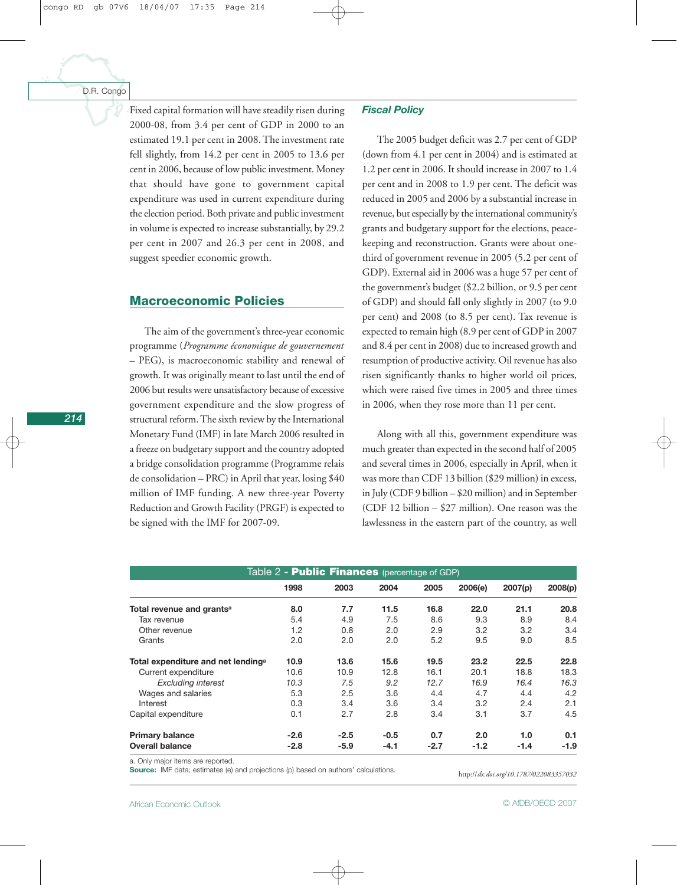Fixed capital formation will have steadily risen during 2000-08, from 3.4 per cent of GDP in 2000 to an estimated 19.1 per cent in 2008. The investment rate fell slightly, from 14.2 per cent in 2005 to 13.6 per cent in 2006, because of low public investment. Money that should have gone to government capital expenditure was used in current expenditure during the election period. Both private and public investment in volume is expected to increase substantially, by 29.2 per cent in 2007 and 26.3 per cent in 2008, and suggest speedier economic growth.

#### **Macroeconomic Policies**

The aim of the government's three-year economic programme (*Programme économique de gouvernement* – PEG), is macroeconomic stability and renewal of growth. It was originally meant to last until the end of 2006 but results were unsatisfactory because of excessive government expenditure and the slow progress of structural reform. The sixth review by the International Monetary Fund (IMF) in late March 2006 resulted in a freeze on budgetary support and the country adopted a bridge consolidation programme (Programme relais de consolidation – PRC) in April that year, losing \$40 million of IMF funding. A new three-year Poverty Reduction and Growth Facility (PRGF) is expected to be signed with the IMF for 2007-09.

#### *Fiscal Policy*

The 2005 budget deficit was 2.7 per cent of GDP (down from 4.1 per cent in 2004) and is estimated at 1.2 per cent in 2006. It should increase in 2007 to 1.4 per cent and in 2008 to 1.9 per cent. The deficit was reduced in 2005 and 2006 by a substantial increase in revenue, but especially by the international community's grants and budgetary support for the elections, peacekeeping and reconstruction. Grants were about onethird of government revenue in 2005 (5.2 per cent of GDP). External aid in 2006 was a huge 57 per cent of the government's budget (\$2.2 billion, or 9.5 per cent of GDP) and should fall only slightly in 2007 (to 9.0 per cent) and 2008 (to 8.5 per cent). Tax revenue is expected to remain high (8.9 per cent of GDP in 2007 and 8.4 per cent in 2008) due to increased growth and resumption of productive activity. Oil revenue has also risen significantly thanks to higher world oil prices, which were raised five times in 2005 and three times in 2006, when they rose more than 11 per cent.

Along with all this, government expenditure was much greater than expected in the second half of 2005 and several times in 2006, especially in April, when it was more than CDF 13 billion (\$29 million) in excess, in July (CDF 9 billion – \$20 million) and in September (CDF 12 billion – \$27 million). One reason was the lawlessness in the eastern part of the country, as well

| Table 2 - <b>Public Finances</b> (percentage of GDP) |        |        |        |        |         |         |         |  |
|------------------------------------------------------|--------|--------|--------|--------|---------|---------|---------|--|
|                                                      | 1998   | 2003   | 2004   | 2005   | 2006(e) | 2007(p) | 2008(p) |  |
| Total revenue and grants <sup>a</sup>                | 8.0    | 7.7    | 11.5   | 16.8   | 22.0    | 21.1    | 20.8    |  |
| Tax revenue                                          | 5.4    | 4.9    | 7.5    | 8.6    | 9.3     | 8.9     | 8.4     |  |
| Other revenue                                        | 1.2    | 0.8    | 2.0    | 2.9    | 3.2     | 3.2     | 3.4     |  |
| Grants                                               | 2.0    | 2.0    | 2.0    | 5.2    | 9.5     | 9.0     | 8.5     |  |
| Total expenditure and net lending <sup>a</sup>       | 10.9   | 13.6   | 15.6   | 19.5   | 23.2    | 22.5    | 22.8    |  |
| Current expenditure                                  | 10.6   | 10.9   | 12.8   | 16.1   | 20.1    | 18.8    | 18.3    |  |
| <b>Excluding interest</b>                            | 10.3   | 7.5    | 9.2    | 12.7   | 16.9    | 16.4    | 16.3    |  |
| Wages and salaries                                   | 5.3    | 2.5    | 3.6    | 4.4    | 4.7     | 4.4     | 4.2     |  |
| Interest                                             | 0.3    | 3.4    | 3.6    | 3.4    | 3.2     | 2.4     | 2.1     |  |
| Capital expenditure                                  | 0.1    | 2.7    | 2.8    | 3.4    | 3.1     | 3.7     | 4.5     |  |
| <b>Primary balance</b>                               | $-2.6$ | $-2.5$ | $-0.5$ | 0.7    | 2.0     | 1.0     | 0.1     |  |
| <b>Overall balance</b>                               | $-2.8$ | $-5.9$ | $-4.1$ | $-2.7$ | $-1.2$  | $-1.4$  | -1.9    |  |

a. Only major items are reported.

**Source:** IMF data; estimates (e) and projections (p) based on authors' calculations.

http://*[dx.doi.org/10.1787/022083357032](http://dx.doi.org/10.1787/022083357032)*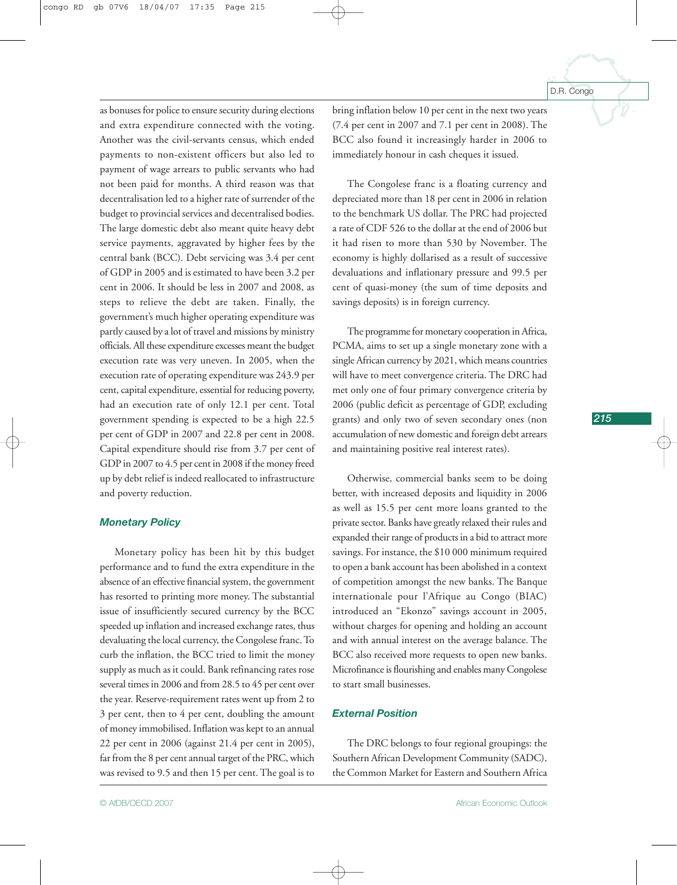as bonuses for police to ensure security during elections and extra expenditure connected with the voting. Another was the civil-servants census, which ended payments to non-existent officers but also led to payment of wage arrears to public servants who had not been paid for months. A third reason was that decentralisation led to a higher rate of surrender of the budget to provincial services and decentralised bodies. The large domestic debt also meant quite heavy debt service payments, aggravated by higher fees by the central bank (BCC). Debt servicing was 3.4 per cent of GDP in 2005 and is estimated to have been 3.2 per cent in 2006. It should be less in 2007 and 2008, as steps to relieve the debt are taken. Finally, the government's much higher operating expenditure was partly caused by a lot of travel and missions by ministry officials. All these expenditure excesses meant the budget execution rate was very uneven. In 2005, when the execution rate of operating expenditure was 243.9 per cent, capital expenditure, essential for reducing poverty, had an execution rate of only 12.1 per cent. Total government spending is expected to be a high 22.5 per cent of GDP in 2007 and 22.8 per cent in 2008. Capital expenditure should rise from 3.7 per cent of GDP in 2007 to 4.5 per cent in 2008 if the money freed up by debt relief is indeed reallocated to infrastructure and poverty reduction.

#### *Monetary Policy*

Monetary policy has been hit by this budget performance and to fund the extra expenditure in the absence of an effective financial system, the government has resorted to printing more money. The substantial issue of insufficiently secured currency by the BCC speeded up inflation and increased exchange rates, thus devaluating the local currency, the Congolese franc. To curb the inflation, the BCC tried to limit the money supply as much as it could. Bank refinancing rates rose several times in 2006 and from 28.5 to 45 per cent over the year. Reserve-requirement rates went up from 2 to 3 per cent, then to 4 per cent, doubling the amount of money immobilised. Inflation was kept to an annual 22 per cent in 2006 (against 21.4 per cent in 2005), far from the 8 per cent annual target of the PRC, which was revised to 9.5 and then 15 per cent. The goal is to

bring inflation below 10 per cent in the next two years (7.4 per cent in 2007 and 7.1 per cent in 2008). The BCC also found it increasingly harder in 2006 to immediately honour in cash cheques it issued.

The Congolese franc is a floating currency and depreciated more than 18 per cent in 2006 in relation to the benchmark US dollar. The PRC had projected a rate of CDF 526 to the dollar at the end of 2006 but it had risen to more than 530 by November. The economy is highly dollarised as a result of successive devaluations and inflationary pressure and 99.5 per cent of quasi-money (the sum of time deposits and savings deposits) is in foreign currency.

The programme for monetary cooperation in Africa, PCMA, aims to set up a single monetary zone with a single African currency by 2021, which means countries will have to meet convergence criteria. The DRC had met only one of four primary convergence criteria by 2006 (public deficit as percentage of GDP, excluding grants) and only two of seven secondary ones (non accumulation of new domestic and foreign debt arrears and maintaining positive real interest rates).

Otherwise, commercial banks seem to be doing better, with increased deposits and liquidity in 2006 as well as 15.5 per cent more loans granted to the private sector. Banks have greatly relaxed their rules and expanded their range of products in a bid to attract more savings. For instance, the \$10 000 minimum required to open a bank account has been abolished in a context of competition amongst the new banks. The Banque internationale pour l'Afrique au Congo (BIAC) introduced an "Ekonzo" savings account in 2005, without charges for opening and holding an account and with annual interest on the average balance. The BCC also received more requests to open new banks. Microfinance is flourishing and enables many Congolese to start small businesses.

#### *External Position*

The DRC belongs to four regional groupings: the Southern African Development Community (SADC), the Common Market for Eastern and Southern Africa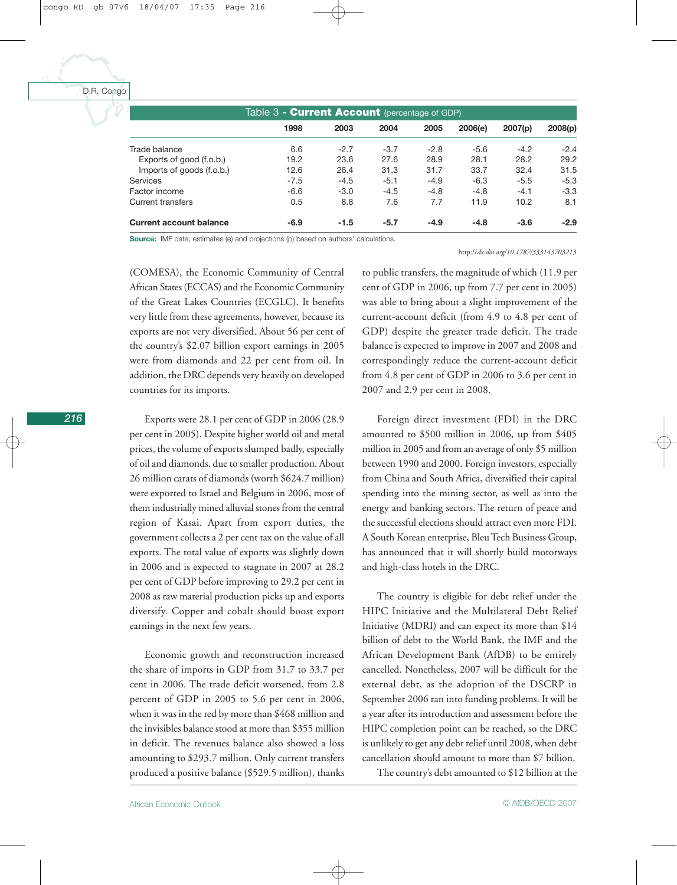| Table 3 - Current Account (percentage of GDP) |        |        |        |        |         |         |         |
|-----------------------------------------------|--------|--------|--------|--------|---------|---------|---------|
|                                               | 1998   | 2003   | 2004   | 2005   | 2006(e) | 2007(p) | 2008(p) |
| Trade balance                                 | 6.6    | $-2.7$ | $-3.7$ | $-2.8$ | $-5.6$  | $-4.2$  | $-2.4$  |
| Exports of good (f.o.b.)                      | 19.2   | 23.6   | 27.6   | 28.9   | 28.1    | 28.2    | 29.2    |
| Imports of goods (f.o.b.)                     | 12.6   | 26.4   | 31.3   | 31.7   | 33.7    | 32.4    | 31.5    |
| Services                                      | $-7.5$ | $-4.5$ | $-5.1$ | $-4.9$ | $-6.3$  | $-5.5$  | $-5.3$  |
| Factor income                                 | $-6.6$ | $-3.0$ | $-4.5$ | $-4.8$ | $-4.8$  | $-4.1$  | $-3.3$  |
| Current transfers                             | 0.5    | 8.8    | 7.6    | 7.7    | 11.9    | 10.2    | 8.1     |
| <b>Current account balance</b>                | $-6.9$ | $-1.5$ | $-5.7$ | $-4.9$ | $-4.8$  | $-3.6$  | $-2.9$  |

**Source:** IMF data; estimates (e) and projections (p) based on authors' calculations.

# (COMESA), the Economic Community of Central African States (ECCAS) and the Economic Community of the Great Lakes Countries (ECGLC). It benefits very little from these agreements, however, because its exports are not very diversified. About 56 per cent of the country's \$2.07 billion export earnings in 2005 were from diamonds and 22 per cent from oil. In addition, the DRC depends very heavily on developed countries for its imports.

Exports were 28.1 per cent of GDP in 2006 (28.9 per cent in 2005). Despite higher world oil and metal prices, the volume of exports slumped badly, especially of oil and diamonds, due to smaller production. About 26 million carats of diamonds (worth \$624.7 million) were exported to Israel and Belgium in 2006, most of them industrially mined alluvial stones from the central region of Kasai. Apart from export duties, the government collects a 2 per cent tax on the value of all exports. The total value of exports was slightly down in 2006 and is expected to stagnate in 2007 at 28.2 per cent of GDP before improving to 29.2 per cent in 2008 as raw material production picks up and exports diversify. Copper and cobalt should boost export earnings in the next few years.

Economic growth and reconstruction increased the share of imports in GDP from 31.7 to 33.7 per cent in 2006. The trade deficit worsened, from 2.8 percent of GDP in 2005 to 5.6 per cent in 2006, when it was in the red by more than \$468 million and the invisibles balance stood at more than \$355 million in deficit. The revenues balance also showed a loss amounting to \$293.7 million. Only current transfers produced a positive balance (\$529.5 million), thanks

to public transfers, the magnitude of which (11.9 per cent of GDP in 2006, up from 7.7 per cent in 2005) was able to bring about a slight improvement of the current-account deficit (from 4.9 to 4.8 per cent of GDP) despite the greater trade deficit. The trade balance is expected to improve in 2007 and 2008 and correspondingly reduce the current-account deficit from 4.8 per cent of GDP in 2006 to 3.6 per cent in 2007 and 2.9 per cent in 2008.

http://*[dx.doi.org/10.1787/333143703213](http://dx.doi.org/10.1787/333143703213)*

Foreign direct investment (FDI) in the DRC amounted to \$500 million in 2006, up from \$405 million in 2005 and from an average of only \$5 million between 1990 and 2000. Foreign investors, especially from China and South Africa, diversified their capital spending into the mining sector, as well as into the energy and banking sectors. The return of peace and the successful elections should attract even more FDI. A South Korean enterprise, Bleu Tech Business Group, has announced that it will shortly build motorways and high-class hotels in the DRC.

The country is eligible for debt relief under the HIPC Initiative and the Multilateral Debt Relief Initiative (MDRI) and can expect its more than \$14 billion of debt to the World Bank, the IMF and the African Development Bank (AfDB) to be entirely cancelled. Nonetheless, 2007 will be difficult for the external debt, as the adoption of the DSCRP in September 2006 ran into funding problems. It will be a year after its introduction and assessment before the HIPC completion point can be reached, so the DRC is unlikely to get any debt relief until 2008, when debt cancellation should amount to more than \$7 billion.

The country's debt amounted to \$12 billion at the

*216*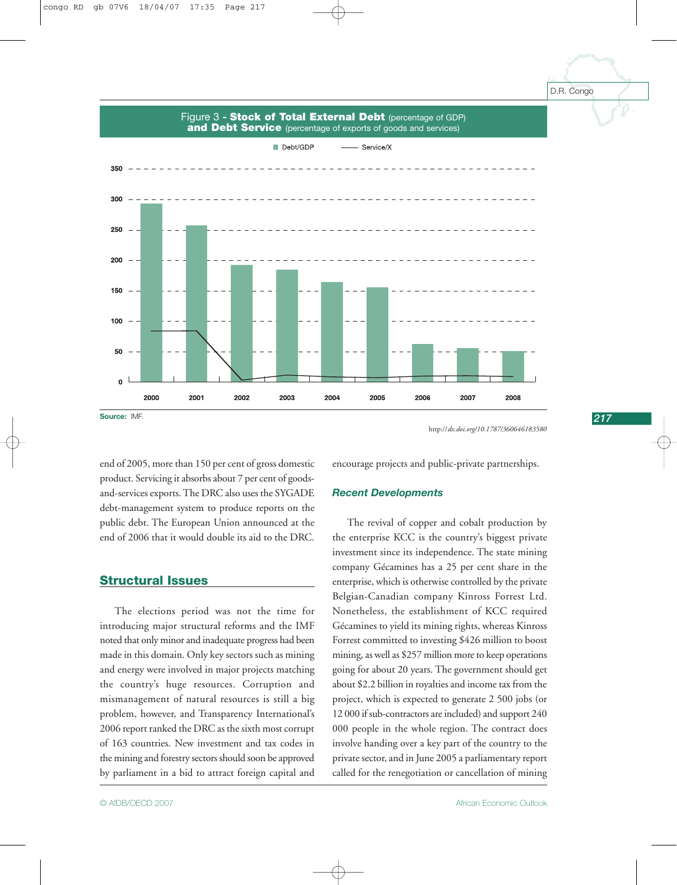*217*

Debt/GDP - Service/X 350 300 250 200 150 100 50 2000 2001 2002 2003 2004 2005 2006 2007 2008

### Figure 3 **- Stock of Total External Debt** (percentage of GDP) **and Debt Service** (percentage of exports of goods and services)

**Source:** IMF.

http://*[dx.doi.org/10.1787/360646183580](http://dx.doi.org/10.1787/360646183580)*

end of 2005, more than 150 per cent of gross domestic product. Servicing it absorbs about 7 per cent of goodsand-services exports. The DRC also uses the SYGADE debt-management system to produce reports on the public debt. The European Union announced at the end of 2006 that it would double its aid to the DRC.

## **Structural Issues**

The elections period was not the time for introducing major structural reforms and the IMF noted that only minor and inadequate progress had been made in this domain. Only key sectors such as mining and energy were involved in major projects matching the country's huge resources. Corruption and mismanagement of natural resources is still a big problem, however, and Transparency International's 2006 report ranked the DRC as the sixth most corrupt of 163 countries. New investment and tax codes in the mining and forestry sectors should soon be approved by parliament in a bid to attract foreign capital and

encourage projects and public-private partnerships.

#### *Recent Developments*

The revival of copper and cobalt production by the enterprise KCC is the country's biggest private investment since its independence. The state mining company Gécamines has a 25 per cent share in the enterprise, which is otherwise controlled by the private Belgian-Canadian company Kinross Forrest Ltd. Nonetheless, the establishment of KCC required Gécamines to yield its mining rights, whereas Kinross Forrest committed to investing \$426 million to boost mining, as well as \$257 million more to keep operations going for about 20 years. The government should get about \$2.2 billion in royalties and income tax from the project, which is expected to generate 2 500 jobs (or 12 000 if sub-contractors are included) and support 240 000 people in the whole region. The contract does involve handing over a key part of the country to the private sector, and in June 2005 a parliamentary report called for the renegotiation or cancellation of mining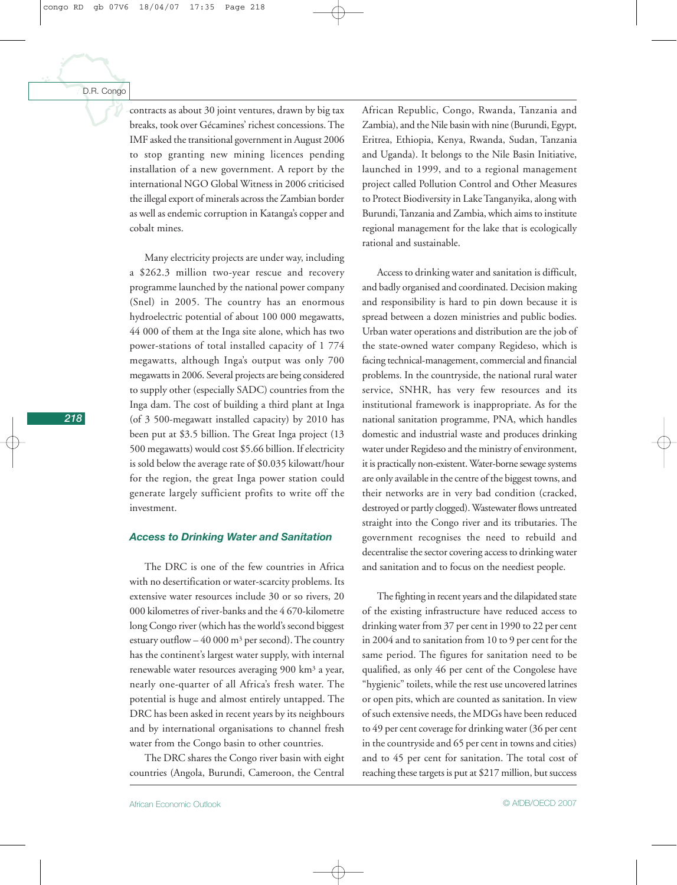contracts as about 30 joint ventures, drawn by big tax breaks, took over Gécamines' richest concessions. The IMF asked the transitional government in August 2006 to stop granting new mining licences pending installation of a new government. A report by the international NGO Global Witness in 2006 criticised the illegal export of minerals across the Zambian border as well as endemic corruption in Katanga's copper and cobalt mines.

Many electricity projects are under way, including a \$262.3 million two-year rescue and recovery programme launched by the national power company (Snel) in 2005. The country has an enormous hydroelectric potential of about 100 000 megawatts, 44 000 of them at the Inga site alone, which has two power-stations of total installed capacity of 1 774 megawatts, although Inga's output was only 700 megawatts in 2006. Several projects are being considered to supply other (especially SADC) countries from the Inga dam. The cost of building a third plant at Inga (of 3 500-megawatt installed capacity) by 2010 has been put at \$3.5 billion. The Great Inga project (13 500 megawatts) would cost \$5.66 billion. If electricity is sold below the average rate of \$0.035 kilowatt/hour for the region, the great Inga power station could generate largely sufficient profits to write off the investment.

#### *Access to Drinking Water and Sanitation*

The DRC is one of the few countries in Africa with no desertification or water-scarcity problems. Its extensive water resources include 30 or so rivers, 20 000 kilometres of river-banks and the 4 670-kilometre long Congo river (which has the world's second biggest estuary outflow  $-40000$  m<sup>3</sup> per second). The country has the continent's largest water supply, with internal renewable water resources averaging 900 km3 a year, nearly one-quarter of all Africa's fresh water. The potential is huge and almost entirely untapped. The DRC has been asked in recent years by its neighbours and by international organisations to channel fresh water from the Congo basin to other countries.

The DRC shares the Congo river basin with eight countries (Angola, Burundi, Cameroon, the Central

African Republic, Congo, Rwanda, Tanzania and Zambia), and the Nile basin with nine (Burundi, Egypt, Eritrea, Ethiopia, Kenya, Rwanda, Sudan, Tanzania and Uganda). It belongs to the Nile Basin Initiative, launched in 1999, and to a regional management project called Pollution Control and Other Measures to Protect Biodiversity in Lake Tanganyika, along with Burundi, Tanzania and Zambia, which aims to institute regional management for the lake that is ecologically rational and sustainable.

Access to drinking water and sanitation is difficult, and badly organised and coordinated. Decision making and responsibility is hard to pin down because it is spread between a dozen ministries and public bodies. Urban water operations and distribution are the job of the state-owned water company Regideso, which is facing technical-management, commercial and financial problems. In the countryside, the national rural water service, SNHR, has very few resources and its institutional framework is inappropriate. As for the national sanitation programme, PNA, which handles domestic and industrial waste and produces drinking water under Regideso and the ministry of environment, it is practically non-existent. Water-borne sewage systems are only available in the centre of the biggest towns, and their networks are in very bad condition (cracked, destroyed or partly clogged). Wastewater flows untreated straight into the Congo river and its tributaries. The government recognises the need to rebuild and decentralise the sector covering access to drinking water and sanitation and to focus on the neediest people.

The fighting in recent years and the dilapidated state of the existing infrastructure have reduced access to drinking water from 37 per cent in 1990 to 22 per cent in 2004 and to sanitation from 10 to 9 per cent for the same period. The figures for sanitation need to be qualified, as only 46 per cent of the Congolese have "hygienic" toilets, while the rest use uncovered latrines or open pits, which are counted as sanitation. In view of such extensive needs, the MDGs have been reduced to 49 per cent coverage for drinking water (36 per cent in the countryside and 65 per cent in towns and cities) and to 45 per cent for sanitation. The total cost of reaching these targets is put at \$217 million, but success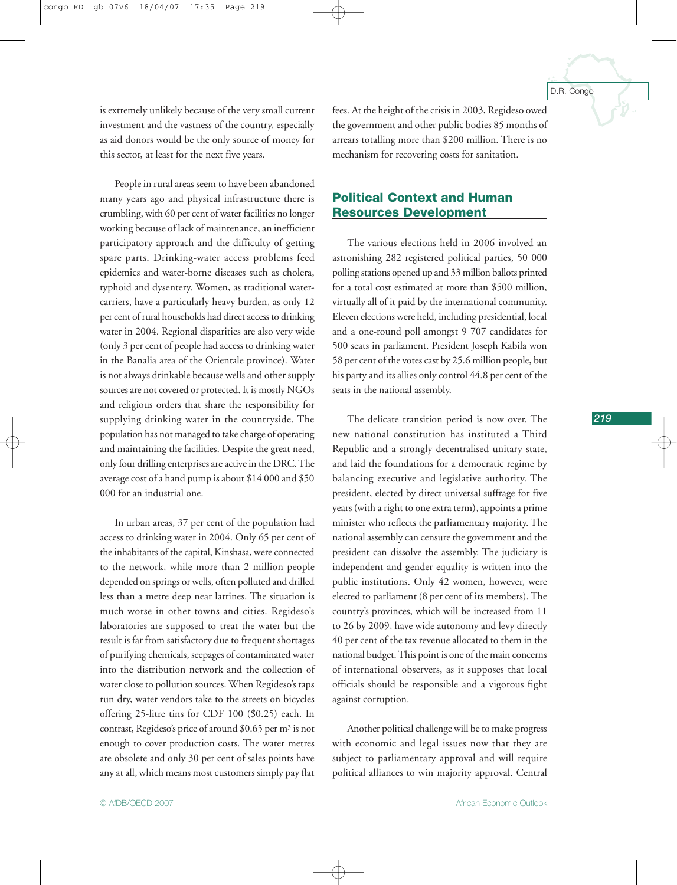is extremely unlikely because of the very small current investment and the vastness of the country, especially as aid donors would be the only source of money for this sector, at least for the next five years.

People in rural areas seem to have been abandoned many years ago and physical infrastructure there is crumbling, with 60 per cent of water facilities no longer working because of lack of maintenance, an inefficient participatory approach and the difficulty of getting spare parts. Drinking-water access problems feed epidemics and water-borne diseases such as cholera, typhoid and dysentery. Women, as traditional watercarriers, have a particularly heavy burden, as only 12 per cent of rural households had direct access to drinking water in 2004. Regional disparities are also very wide (only 3 per cent of people had access to drinking water in the Banalia area of the Orientale province). Water is not always drinkable because wells and other supply sources are not covered or protected. It is mostly NGOs and religious orders that share the responsibility for supplying drinking water in the countryside. The population has not managed to take charge of operating and maintaining the facilities. Despite the great need, only four drilling enterprises are active in the DRC. The average cost of a hand pump is about \$14 000 and \$50 000 for an industrial one.

In urban areas, 37 per cent of the population had access to drinking water in 2004. Only 65 per cent of the inhabitants of the capital, Kinshasa, were connected to the network, while more than 2 million people depended on springs or wells, often polluted and drilled less than a metre deep near latrines. The situation is much worse in other towns and cities. Regideso's laboratories are supposed to treat the water but the result is far from satisfactory due to frequent shortages of purifying chemicals, seepages of contaminated water into the distribution network and the collection of water close to pollution sources. When Regideso's taps run dry, water vendors take to the streets on bicycles offering 25-litre tins for CDF 100 (\$0.25) each. In contrast, Regideso's price of around \$0.65 per m3 is not enough to cover production costs. The water metres are obsolete and only 30 per cent of sales points have any at all, which means most customers simply pay flat

fees. At the height of the crisis in 2003, Regideso owed the government and other public bodies 85 months of arrears totalling more than \$200 million. There is no mechanism for recovering costs for sanitation.

# **Political Context and Human Resources Development**

The various elections held in 2006 involved an astronishing 282 registered political parties, 50 000 polling stations opened up and 33 million ballots printed for a total cost estimated at more than \$500 million, virtually all of it paid by the international community. Eleven elections were held, including presidential, local and a one-round poll amongst 9 707 candidates for 500 seats in parliament. President Joseph Kabila won 58 per cent of the votes cast by 25.6 million people, but his party and its allies only control 44.8 per cent of the seats in the national assembly.

The delicate transition period is now over. The new national constitution has instituted a Third Republic and a strongly decentralised unitary state, and laid the foundations for a democratic regime by balancing executive and legislative authority. The president, elected by direct universal suffrage for five years (with a right to one extra term), appoints a prime minister who reflects the parliamentary majority. The national assembly can censure the government and the president can dissolve the assembly. The judiciary is independent and gender equality is written into the public institutions. Only 42 women, however, were elected to parliament (8 per cent of its members). The country's provinces, which will be increased from 11 to 26 by 2009, have wide autonomy and levy directly 40 per cent of the tax revenue allocated to them in the national budget. This point is one of the main concerns of international observers, as it supposes that local officials should be responsible and a vigorous fight against corruption.

Another political challenge will be to make progress with economic and legal issues now that they are subject to parliamentary approval and will require political alliances to win majority approval. Central